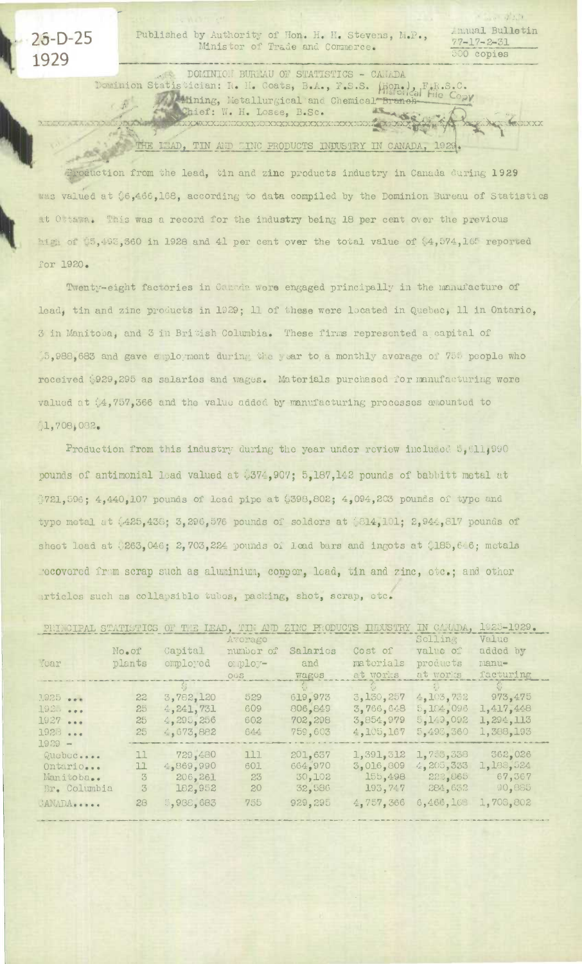$25-D-25$ 1929

Published by Authority of Hon. H. H. Stevens, M.P., Minister of Trade and Commerce.

 $3.111$ **Final Bulletin**  $77 - 17 - 2 - 31$ 500 copies

DOMINION BURNAU OF STATISTICS - CANADA Dominion Statistician: R. H. Coats, B.A., F.S.S. (Hon.), F.R.S.C. Wemining, Metallurgical and Chemical Branch Chief: W. H. Losee, B.Sc. 小家 Aprox 344, 44 Beggideg Secrets THE IEAD, TIN AND EINC PRODUCTS INDUSTRY IN CANADA, 1929.

Production from the lead, tin and zinc products industry in Canada during 1929 was valued at 06,466,168, according to data compiled by the Dominion Bureau of Statistics at Ottawa. This was a record for the industry being 18 per cent over the previous high of \$5,493,360 in 1928 and 41 per cent over the total value of \$4,574,165 reported for 1920.

Twenty-eight factories in Canada were engaged principally in the manufacture of lead, tin and zinc products in 1929; 11 of these were located in Quebec, 11 in Ontario, 3 in Manitoba, and 3 in British Columbia. These firms represented a capital of 5,988,683 and gave employment during the year to a monthly average of 750 people who received \$929,295 as salaries and wages. Materials purchased for manufacturing wore valued at \$4,757,366 and the value added by manufacturing processes a ounted to 1,708,082.

Production from this industry during the year under review included 5, 611, 990 pounds of antimonial lead valued at \$374,907; 5,187,142 pounds of babbitt metal at 721,596: 4,440,107 pounds of lead pipe at \$398,802; 4,094,203 pounds of type and type metal at \$425,438; 3,296,576 pounds of solders at \$814,101; 2,944,817 pounds of sheet lead at 0263,046; 2,703,224 pounds of lead bars and ingots at 0185,646; metals coovered from scrap such as aluminium, comper, lead, tin and zinc, otc.; and other articles such as collapsible tubes, packing, shot, scrap, otc.

|               |        |             |                 | PRINCIPAL STATISTICS OF THE LEAD, TIN AND ZINC PRODUCTS INDUSTRY |           | IN CANADA, | 1925-1929. |
|---------------|--------|-------------|-----------------|------------------------------------------------------------------|-----------|------------|------------|
|               |        |             | Average         |                                                                  |           | Solling    | Value      |
|               | No.of  | Capital     | number of       | Salarics                                                         | Cost of   | value of   | addod by   |
| Toar          | plants | omployed    | employ-         | and                                                              | materials | products   | nanu-      |
|               |        |             | OGS             | wages                                                            | at works  | at works   | facturing  |
|               |        |             |                 |                                                                  | 一卷        |            |            |
| .025          | 22     | 3,782,120   | 529             | 619,973                                                          | 3,130,257 | 4,103,732  | 973,475    |
| 1920          | 25     | 4,241,731   | 609             | 806,849                                                          | 3,766,648 | 5,184,096  | 1,417,448  |
| 1927          | 25     | 4, 295, 256 | 602             | 702,298                                                          | 3,854,979 | 5,149,092  | 1,294,113  |
| 1928          | 25     | 4,673,882   | 644             | 759,603                                                          | 4,105,167 | 5,495,360  | 1,388,193  |
| $1929 -$      |        |             |                 |                                                                  |           |            |            |
| Queboc        | 11     | 729,480     | 111             | 201,637                                                          | 1,391,312 | 1,753,338  | 362,026    |
| Ontario       | 11     | 4,869,990   | 601             | 664,970                                                          | 3,016,809 | 4,205,333  | 1,188,524  |
| Manitoba      | 3      | 206,261     | 23              | 30,102                                                           | 155,498   | 223,865    | 67,367     |
| Br. Columbia  | 3      | 182,952     | 20 <sub>2</sub> | 32,586                                                           | 193,747   | 284,632    | 90,865     |
| <b>JANADA</b> | 28     | 5,988,683   | 755             | 929,295                                                          | 4,757,366 | 6,466,168  | 1,708,802  |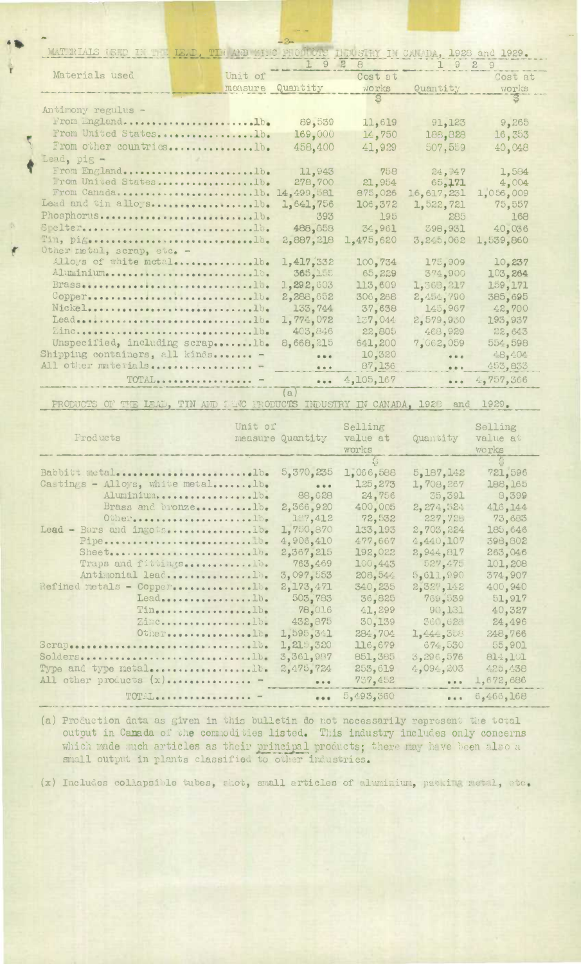| MATERIALS (SED IN THE LE.D. TIM AND THEO PRODUCTS HEUSTAY IN CARDA, 1928 and 1929.                |         |                         |                   |                      |                   |
|---------------------------------------------------------------------------------------------------|---------|-------------------------|-------------------|----------------------|-------------------|
|                                                                                                   |         | 192                     | $\mathbf s$       | 192                  | 9                 |
| Materials used                                                                                    | Unit of |                         | Cost at           |                      | Cost at           |
|                                                                                                   | measure | Quantity                | works             | Quantity             | Works             |
|                                                                                                   |         |                         |                   |                      |                   |
| Antimony regulus -                                                                                |         |                         |                   |                      |                   |
| From England                                                                                      |         | 89,539                  | 11,619            | 91,123               | 9,265             |
| From United States1b.                                                                             |         | 169,000                 | 14,750            | 188,828              | 16,353            |
| From other countries1b.                                                                           |         | 458,400                 | 41,929            | 507,559              | 40,048            |
| Lead, pig -                                                                                       |         |                         |                   |                      |                   |
| From Englandb.                                                                                    |         | 11,943                  | 758               | 24, 247              | 1,584             |
| From United Statesb.                                                                              |         | 278,700                 | 21,954            | 65,171               | 4,004             |
| From Canada                                                                                       |         | 14,499,581              | 875,026           | 16,617,231           | 1,056,009         |
| Lead and tin alloys lb.                                                                           |         | 1,641,756               | 106,372           | 1,522,721            | 75,557            |
|                                                                                                   |         | 393                     | 195               | 285                  | 168               |
| Spelter                                                                                           |         | 488,858                 | 34,961            | 398,931              | 40,036            |
| Tin, pige- D.                                                                                     |         | 2,887,218               | 1,475,620         | 3,245,062            | 1,539,860         |
| Other metal, scrap, etc. -                                                                        |         |                         |                   |                      |                   |
| Alloys of white metalb.                                                                           |         | 1,417,332               | 100,734           | 175,909              | 10,237            |
| Aluminium                                                                                         |         | 365,185                 | 65,229            | 374,900              | 103,264           |
|                                                                                                   |         | 1,292,603               | 113,609           | 1,363,217            | 159,171           |
|                                                                                                   |         | 2,288,652               | 306,268           | 2,454,790            | 385,695           |
|                                                                                                   |         | 133,744                 | 37,638            | 145,967              | 42,700            |
|                                                                                                   |         | 1,774,072               | 137,044           | 2,579,930            | 193,937           |
| ZincD.<br>Unspecified, including scrap lb.                                                        |         | 403,846<br>8,668,215    | 22,805            | 468,929<br>7,062,059 | 22,643            |
| Shipping containers, all kinds -                                                                  |         |                         | 641,200<br>10,320 |                      | 554,598<br>48,404 |
| All other materials                                                                               |         | $- - -$                 | 87,136            |                      | 453,853           |
|                                                                                                   |         | $- - -$                 |                   | $0.0 - 0.0$          |                   |
|                                                                                                   |         | $\frac{1}{2}$           | 4,105,167         | $\cdots$             | 4,757,366         |
|                                                                                                   |         | (a)                     |                   |                      |                   |
| PRODUCTS OF THE LEAD, TIN AND I LNC PRODUCTS INDUSTRY IN CANADA, 1928                             |         |                         |                   | and                  | 1929.             |
|                                                                                                   | Unit of |                         | Selling           |                      | Selling           |
| Products                                                                                          |         | measure Quantity        | value at          | Quantity             | value at          |
|                                                                                                   |         |                         | works             |                      | Works             |
|                                                                                                   |         |                         |                   |                      |                   |
| Babbitt metal                                                                                     |         | 5,370,235               | 1,066,588         | 5,187,142            | 721,596           |
| Castings - Alloys, white metallb.                                                                 |         | $\bullet\bullet\bullet$ | 125,273           | 1,708,267            | 188,165           |
| Aluminiumlb.                                                                                      |         | 88,628                  | 24,756            | 35,391               | 8,399             |
| Brass and bronzeb.                                                                                |         | 2,366,920               | 400,005           | 2,274,524            | 416,144           |
|                                                                                                   |         | 197,412                 | 72,532            | 227,728              | 73,683            |
| Lead - Bars and ingotsb.                                                                          |         | 1,750,870               | 133,193           | 2,703,224            | 185,646           |
| Pipe                                                                                              |         | 4,906,410               | 477,667           | 4,440,107            | 398,802           |
| $Sheet \dots \dots \dots \dots \dots \dots \dots \dots \dots \dots \dots \dots \dots \dots \dots$ |         | 2,367,215               | 192,022           | 2,944,817            | 263,046           |
| Muane and fittings and in                                                                         |         | 763 160                 | 700112            | こつけ メガに              | 101 208           |

(a) Production data as given in this bulletin do not necessarily represent the total output in Canada of the commodities listed. This industry includes only concerns which made such articles as their principal products; there may have been also a small output in plants classified to other industries.

3,097,553

2, 173, 471<br>503, 783<br>78, 016

432,875

 $\cdots$ 

1,595,341

1,215,320

Antimonial lead...............lb.

 $Time.....................lb$ 

 $Zine...............b$ 

Solders................................. 3,361,987

Type and type metal.................1b. 2,475,724

 $TOTAL$ 

Refined metals - Copper..............lb.

All other products (x).................

208, 544

36,825

41,299

30,139

 $284,704$ 

116,679

851,385

253,619

737,452

5,493,560

374,907

400,940

 $51,917$ <br> $40,327$ <br> $24,496$ 

248,766

55,901

814,101

425,438

1,672,686

6,466,168

 $5,611,990$ 

769,539

 $90, 131$ 

360,628

 $1,444,558$ 

3,296,576

 $4,094,203$ 

 $\overline{\phantom{a}}$ 

 $\bullet$   $\bullet$   $\bullet$  .

674,530

2,327,142

(x) Includes collapsible tubes, shot, small articles of aluminium, packing metal, etc.